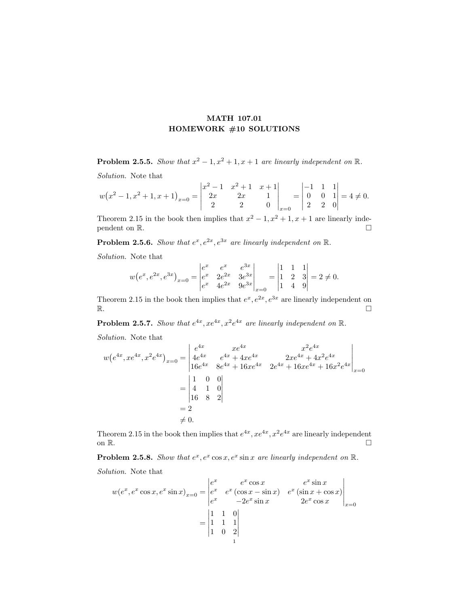## MATH 107.01 HOMEWORK #10 SOLUTIONS

**Problem 2.5.5.** Show that  $x^2 - 1$ ,  $x^2 + 1$ ,  $x + 1$  are linearly independent on  $\mathbb{R}$ .

Solution. Note that

$$
w(x^{2}-1,x^{2}+1,x+1)_{x=0} = \begin{vmatrix} x^{2}-1 & x^{2}+1 & x+1 \\ 2x & 2x & 1 \\ 2 & 2 & 0 \end{vmatrix}_{x=0} = \begin{vmatrix} -1 & 1 & 1 \\ 0 & 0 & 1 \\ 2 & 2 & 0 \end{vmatrix} = 4 \neq 0.
$$

Theorem 2.15 in the book then implies that  $x^2 - 1$ ,  $x^2 + 1$ ,  $x + 1$  are linearly independent on  $\mathbb{R}$ .

**Problem 2.5.6.** Show that  $e^x, e^{2x}, e^{3x}$  are linearly independent on  $\mathbb{R}$ .

Solution. Note that

$$
w(e^x, e^{2x}, e^{3x})_{x=0} = \begin{vmatrix} e^x & e^x & e^{3x} \\ e^x & 2e^{2x} & 3e^{3x} \\ e^x & 4e^{2x} & 9e^{3x} \end{vmatrix}_{x=0} = \begin{vmatrix} 1 & 1 & 1 \\ 1 & 2 & 3 \\ 1 & 4 & 9 \end{vmatrix} = 2 \neq 0.
$$

Theorem 2.15 in the book then implies that  $e^x, e^{2x}, e^{3x}$  are linearly independent on  $\mathbb{R}$ .

**Problem 2.5.7.** Show that  $e^{4x}$ ,  $xe^{4x}$ ,  $x^2e^{4x}$  are linearly independent on  $\mathbb{R}$ .

Solution. Note that

$$
w(e^{4x}, xe^{4x}, x^2e^{4x})_{x=0} = \begin{vmatrix} e^{4x} & xe^{4x} & x^2e^{4x} \\ 4e^{4x} & e^{4x} + 4xe^{4x} & 2xe^{4x} + 4x^2e^{4x} \\ 16e^{4x} & 8e^{4x} + 16xe^{4x} & 2e^{4x} + 16xe^{4x} + 16x^2e^{4x} \end{vmatrix}_{x=0}
$$
  
= 
$$
\begin{vmatrix} 1 & 0 & 0 \\ 4 & 1 & 0 \\ 16 & 8 & 2 \end{vmatrix}
$$
  
= 2  

$$
40
$$

Theorem 2.15 in the book then implies that  $e^{4x}$ ,  $xe^{4x}$ ,  $x^2e^{4x}$  are linearly independent on  $\mathbb{R}$ .

**Problem 2.5.8.** Show that  $e^x$ ,  $e^x$  cos x,  $e^x$  sin x are linearly independent on  $\mathbb{R}$ .

Solution. Note that

$$
w(e^x, e^x \cos x, e^x \sin x)_{x=0} = \begin{vmatrix} e^x & e^x \cos x & e^x \sin x \\ e^x & e^x (\cos x - \sin x) & e^x (\sin x + \cos x) \\ e^x & -2e^x \sin x & 2e^x \cos x \end{vmatrix}_{x=0}
$$

$$
= \begin{vmatrix} 1 & 1 & 0 \\ 1 & 1 & 1 \\ 1 & 0 & 2 \\ 1 & 0 & 1 \end{vmatrix}
$$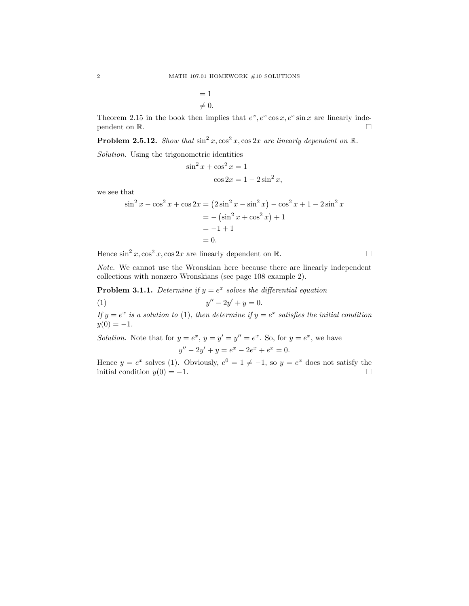$$
= 1
$$
  

$$
\neq 0.
$$

Theorem 2.15 in the book then implies that  $e^x$ ,  $e^x$  cos x,  $e^x$  sin x are linearly independent on  $\mathbb{R}$ .

**Problem 2.5.12.** Show that  $\sin^2 x$ ,  $\cos^2 x$ ,  $\cos 2x$  are linearly dependent on  $\mathbb{R}$ .

Solution. Using the trigonometric identities

$$
\sin^2 x + \cos^2 x = 1
$$

$$
\cos 2x = 1 - 2\sin^2 x,
$$

we see that

$$
\sin^2 x - \cos^2 x + \cos 2x = (2\sin^2 x - \sin^2 x) - \cos^2 x + 1 - 2\sin^2 x
$$
  
= -(\sin^2 x + \cos^2 x) + 1  
= -1 + 1  
= 0.

Hence  $\sin^2 x, \cos^2 x, \cos 2x$  are linearly dependent on R.

Note. We cannot use the Wronskian here because there are linearly independent collections with nonzero Wronskians (see page 108 example 2).

**Problem 3.1.1.** Determine if  $y = e^x$  solves the differential equation

(1) 
$$
y'' - 2y' + y = 0.
$$

If  $y = e^x$  is a solution to (1), then determine if  $y = e^x$  satisfies the initial condition  $y(0) = -1.$ 

Solution. Note that for  $y = e^x$ ,  $y = y' = y'' = e^x$ . So, for  $y = e^x$ , we have  $y'' - 2y' + y = e^x - 2e^x + e^x = 0.$ 

Hence  $y = e^x$  solves (1). Obviously,  $e^0 = 1 \neq -1$ , so  $y = e^x$  does not satisfy the initial condition  $y(0) = -1$ .